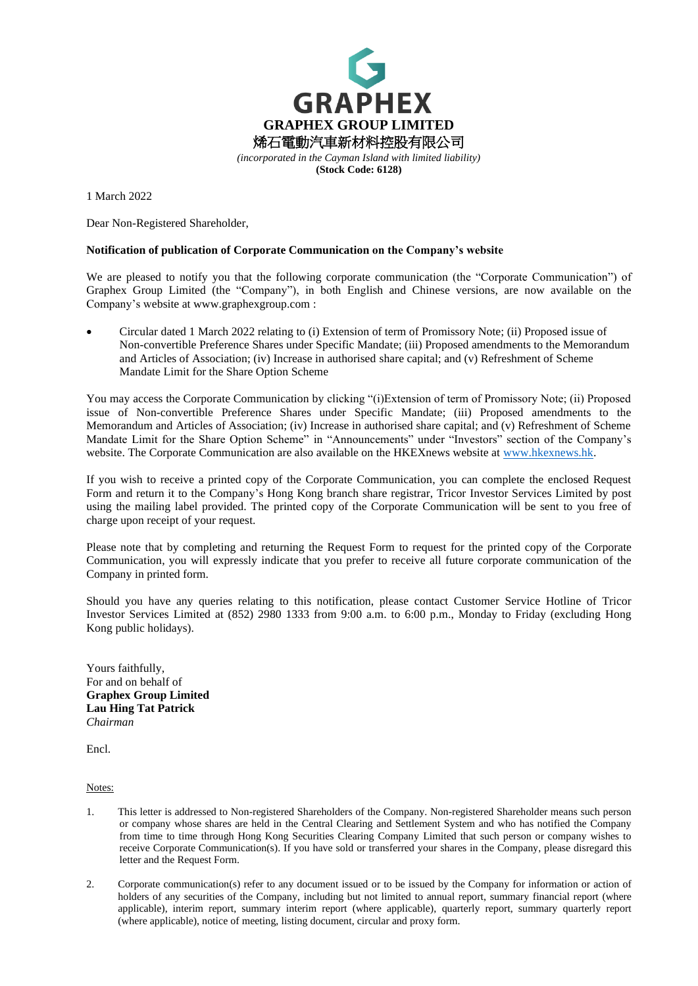

**(Stock Code: 6128)**

1 March 2022

Dear Non-Registered Shareholder,

## **Notification of publication of Corporate Communication on the Company's website**

We are pleased to notify you that the following corporate communication (the "Corporate Communication") of Graphex Group Limited (the "Company"), in both English and Chinese versions, are now available on the Company's website at www.graphexgroup.com :

• Circular dated 1 March 2022 relating to (i) Extension of term of Promissory Note; (ii) Proposed issue of Non-convertible Preference Shares under Specific Mandate; (iii) Proposed amendments to the Memorandum and Articles of Association; (iv) Increase in authorised share capital; and (v) Refreshment of Scheme Mandate Limit for the Share Option Scheme

You may access the Corporate Communication by clicking "(i)Extension of term of Promissory Note; (ii) Proposed issue of Non-convertible Preference Shares under Specific Mandate; (iii) Proposed amendments to the Memorandum and Articles of Association; (iv) Increase in authorised share capital; and (v) Refreshment of Scheme Mandate Limit for the Share Option Scheme" in "Announcements" under "Investors" section of the Company's website. The Corporate Communication are also available on the HKEXnews website at [www.hkexnews.hk.](http://www.hkexnews.hk/)

If you wish to receive a printed copy of the Corporate Communication, you can complete the enclosed Request Form and return it to the Company's Hong Kong branch share registrar, Tricor Investor Services Limited by post using the mailing label provided. The printed copy of the Corporate Communication will be sent to you free of charge upon receipt of your request.

Please note that by completing and returning the Request Form to request for the printed copy of the Corporate Communication, you will expressly indicate that you prefer to receive all future corporate communication of the Company in printed form.

Should you have any queries relating to this notification, please contact Customer Service Hotline of Tricor Investor Services Limited at (852) 2980 1333 from 9:00 a.m. to 6:00 p.m., Monday to Friday (excluding Hong Kong public holidays).

Yours faithfully, For and on behalf of **Graphex Group Limited Lau Hing Tat Patrick** *Chairman*

Encl.

Notes:

- 1. This letter is addressed to Non-registered Shareholders of the Company. Non-registered Shareholder means such person or company whose shares are held in the Central Clearing and Settlement System and who has notified the Company from time to time through Hong Kong Securities Clearing Company Limited that such person or company wishes to receive Corporate Communication(s). If you have sold or transferred your shares in the Company, please disregard this letter and the Request Form.
- 2. Corporate communication(s) refer to any document issued or to be issued by the Company for information or action of holders of any securities of the Company, including but not limited to annual report, summary financial report (where applicable), interim report, summary interim report (where applicable), quarterly report, summary quarterly report (where applicable), notice of meeting, listing document, circular and proxy form.